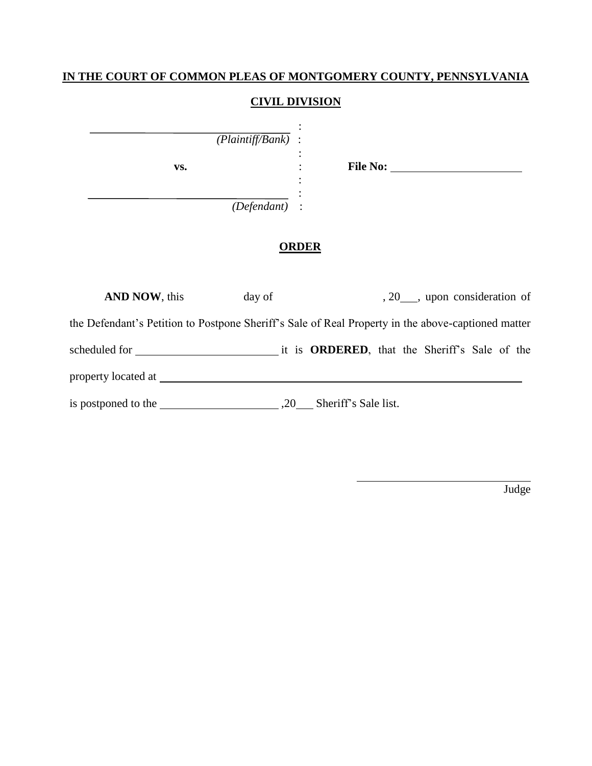### **IN THE COURT OF COMMON PLEAS OF MONTGOMERY COUNTY, PENNSYLVANIA**

#### **CIVIL DIVISION**

:

:

:  $\mathbb{R}^{\mathbb{Z}}$ 

*(Plaintiff/Bank)* :

**vs.** : **File No:** 

*(Defendant)*:

## **ORDER**

| <b>AND NOW, this</b>                                                                               | day of |                          | , 20 ___, upon consideration of |  |
|----------------------------------------------------------------------------------------------------|--------|--------------------------|---------------------------------|--|
| the Defendant's Petition to Postpone Sheriff's Sale of Real Property in the above-captioned matter |        |                          |                                 |  |
|                                                                                                    |        |                          |                                 |  |
| property located at                                                                                |        |                          |                                 |  |
|                                                                                                    |        | .20 Sheriff's Sale list. |                                 |  |

Judge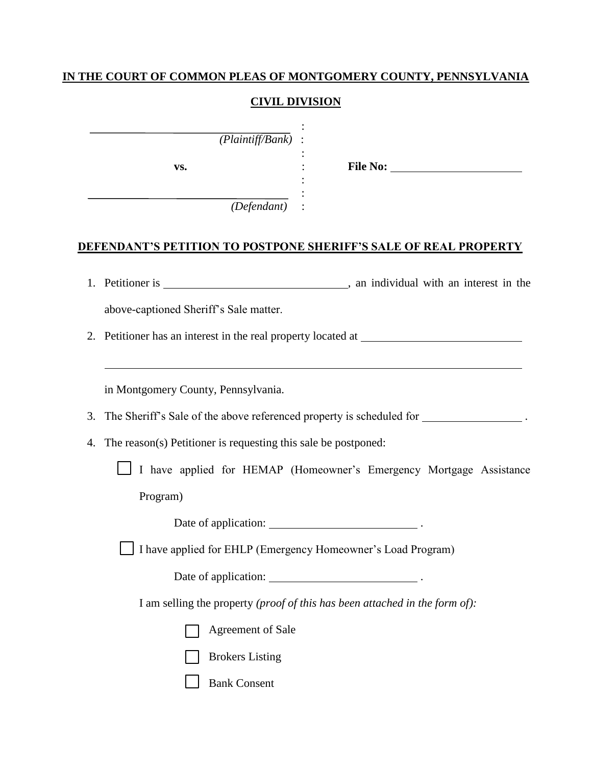# **IN THE COURT OF COMMON PLEAS OF MONTGOMERY COUNTY, PENNSYLVANIA**

### **CIVIL DIVISION**

| $(Plaintiff/Bank)$ :<br>VS.                                                                     |                                                                     |
|-------------------------------------------------------------------------------------------------|---------------------------------------------------------------------|
| (Defendant)                                                                                     |                                                                     |
| <b>DEFENDANT'S PETITION TO POSTPONE SHERIFF'S SALE OF REAL PROPERTY</b>                         |                                                                     |
|                                                                                                 |                                                                     |
| above-captioned Sheriff's Sale matter.                                                          |                                                                     |
| Petitioner has an interest in the real property located at ______________________<br>2.         |                                                                     |
|                                                                                                 |                                                                     |
| in Montgomery County, Pennsylvania.                                                             |                                                                     |
| The Sheriff's Sale of the above referenced property is scheduled for ___________________.<br>3. |                                                                     |
| The reason(s) Petitioner is requesting this sale be postponed:<br>4.                            |                                                                     |
|                                                                                                 | I have applied for HEMAP (Homeowner's Emergency Mortgage Assistance |
| Program)                                                                                        |                                                                     |
|                                                                                                 |                                                                     |
| I have applied for EHLP (Emergency Homeowner's Load Program)                                    |                                                                     |
|                                                                                                 |                                                                     |

I am selling the property *(proof of this has been attached in the form of):*

| Agreement of Sale |
|-------------------|
|-------------------|

| <b>Brokers</b> Listing |
|------------------------|
|------------------------|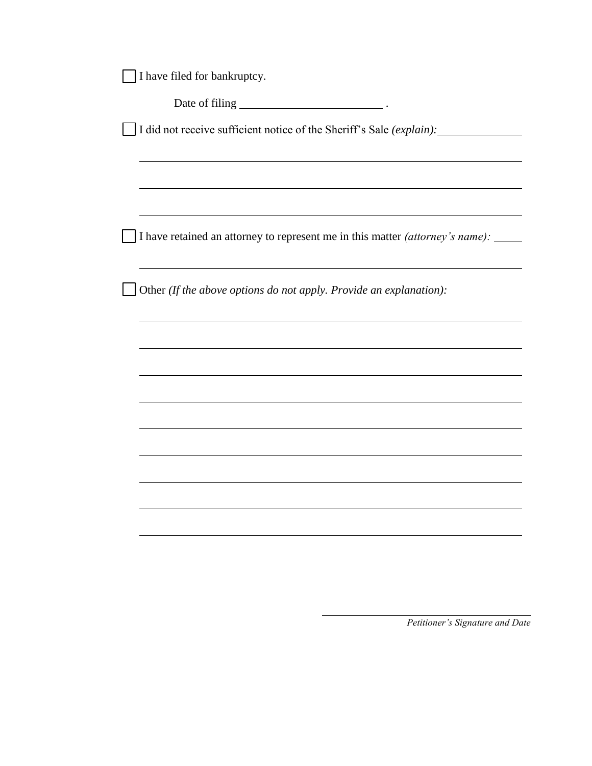|  | I have filed for bankruptcy. |  |  |  |  |
|--|------------------------------|--|--|--|--|
|--|------------------------------|--|--|--|--|

Date of filing .

I did not receive sufficient notice of the Sheriff's Sale *(explain):*

I have retained an attorney to represent me in this matter *(attorney's name):* 

Other *(If the above options do not apply. Provide an explanation):*

*Petitioner's Signature and Date*